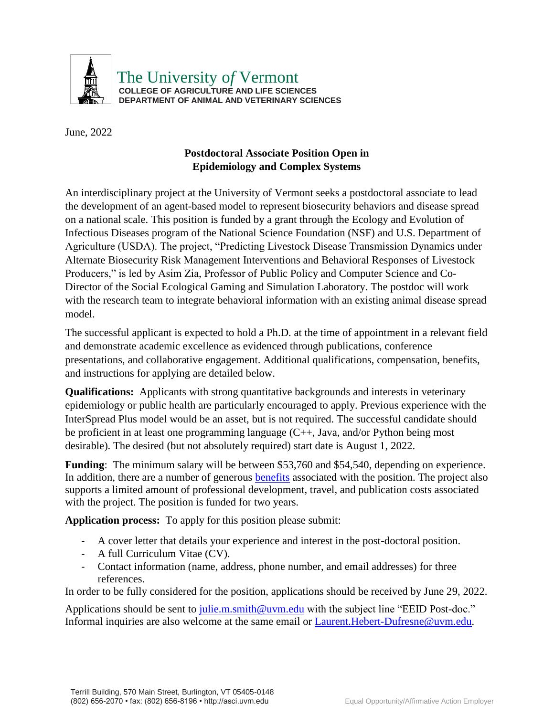

The University o*f* Vermont **COLLEGE OF AGRICULTURE AND LIFE SCIENCES DEPARTMENT OF ANIMAL AND VETERINARY SCIENCES** 

June, 2022

## **Postdoctoral Associate Position Open in Epidemiology and Complex Systems**

An interdisciplinary project at the University of Vermont seeks a postdoctoral associate to lead the development of an agent-based model to represent biosecurity behaviors and disease spread on a national scale. This position is funded by a grant through the Ecology and Evolution of Infectious Diseases program of the National Science Foundation (NSF) and U.S. Department of Agriculture (USDA). The project, "Predicting Livestock Disease Transmission Dynamics under Alternate Biosecurity Risk Management Interventions and Behavioral Responses of Livestock Producers," is led by Asim Zia, Professor of Public Policy and Computer Science and Co-Director of the Social Ecological Gaming and Simulation Laboratory. The postdoc will work with the research team to integrate behavioral information with an existing animal disease spread model.

The successful applicant is expected to hold a Ph.D. at the time of appointment in a relevant field and demonstrate academic excellence as evidenced through publications, conference presentations, and collaborative engagement. Additional qualifications, compensation, benefits, and instructions for applying are detailed below.

**Qualifications:** Applicants with strong quantitative backgrounds and interests in veterinary epidemiology or public health are particularly encouraged to apply. Previous experience with the InterSpread Plus model would be an asset, but is not required. The successful candidate should be proficient in at least one programming language (C++, Java, and/or Python being most desirable). The desired (but not absolutely required) start date is August 1, 2022.

**Funding:** The minimum salary will be between \$53,760 and \$54,540, depending on experience. In addition, there are a number of generous [benefits](https://www.uvm.edu/hrs/postdoctoral-associates-fellows-overview) associated with the position. The project also supports a limited amount of professional development, travel, and publication costs associated with the project. The position is funded for two years.

**Application process:** To apply for this position please submit:

- A cover letter that details your experience and interest in the post-doctoral position.
- A full Curriculum Vitae (CV).
- Contact information (name, address, phone number, and email addresses) for three references.

In order to be fully considered for the position, applications should be received by June 29, 2022.

Applications should be sent to [julie.m.smith@uvm.edu](mailto:julie.m.smith@uvm.edu) with the subject line "EEID Post-doc." Informal inquiries are also welcome at the same email or [Laurent.Hebert-Dufresne@uvm.edu.](mailto:Laurent.Hebert-Dufresne@uvm.edu)